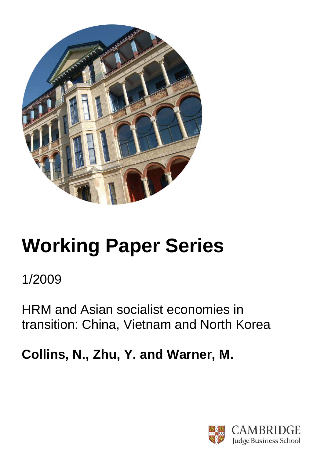

# **Working Paper Series**

1/2009

HRM and Asian socialist economies in transition: China, Vietnam and North Korea

**Collins, N., Zhu, Y. and Warner, M.**

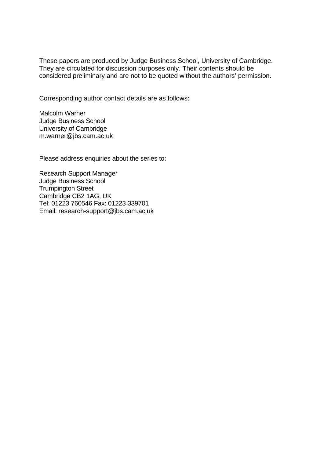These papers are produced by Judge Business School, University of Cambridge. They are circulated for discussion purposes only. Their contents should be considered preliminary and are not to be quoted without the authors' permission.

Corresponding author contact details are as follows:

Malcolm Warner Judge Business School University of Cambridge m.warner@jbs.cam.ac.uk

Please address enquiries about the series to:

Research Support Manager Judge Business School Trumpington Street Cambridge CB2 1AG, UK Tel: 01223 760546 Fax: 01223 339701 Email: research-support@jbs.cam.ac.uk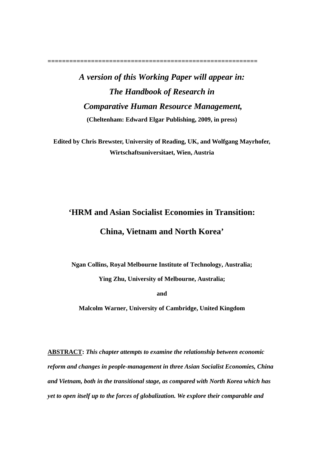**==========================================================** 

# *A version of this Working Paper will appear in: The Handbook of Research in Comparative Human Resource Management,*  **(Cheltenham: Edward Elgar Publishing, 2009, in press)**

**Edited by Chris Brewster, University of Reading, UK, and Wolfgang Mayrhofer, Wirtschaftsuniversitaet, Wien, Austria** 

# **'HRM and Asian Socialist Economies in Transition:**

### **China, Vietnam and North Korea'**

**Ngan Collins, Royal Melbourne Institute of Technology, Australia;** 

**Ying Zhu, University of Melbourne, Australia;** 

**and** 

**Malcolm Warner, University of Cambridge, United Kingdom** 

**ABSTRACT:** *This chapter attempts to examine the relationship between economic reform and changes in people-management in three Asian Socialist Economies, China and Vietnam, both in the transitional stage, as compared with North Korea which has yet to open itself up to the forces of globalization. We explore their comparable and*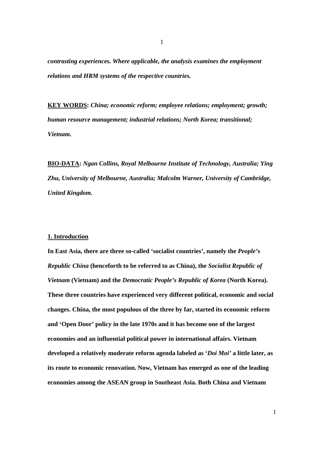*contrasting experiences. Where applicable, the analysis examines the employment relations and HRM systems of the respective countries.*

**KEY WORDS:** *China; economic reform; employee relations; employment; growth; human resource management; industrial relations; North Korea; transitional; Vietnam.*

**BIO-DATA:** *Ngan Collins, Royal Melbourne Institute of Technology, Australia; Ying Zhu, University of Melbourne, Australia; Malcolm Warner, University of Cambridge, United Kingdom.*

#### **1. Introduction**

**In East Asia, there are three so-called 'socialist countries', namely the** *People's Republic China* **(henceforth to be referred to as China), the** *Socialist Republic of Vietnam* **(Vietnam) and the** *Democratic People's Republic of Korea* **(North Korea). These three countries have experienced very different political, economic and social changes. China, the most populous of the three by far, started its economic reform and 'Open Door' policy in the late 1970s and it has become one of the largest economies and an influential political power in international affairs. Vietnam developed a relatively moderate reform agenda labeled as '***Doi Moi'* **a little later, as its route to economic renovation. Now, Vietnam has emerged as one of the leading economies among the ASEAN group in Southeast Asia. Both China and Vietnam**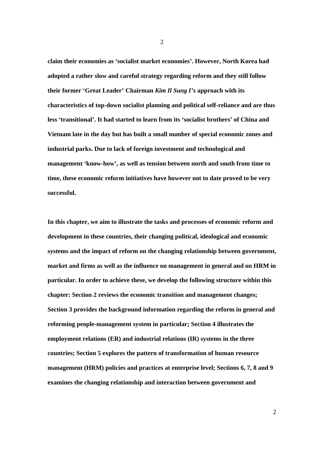**claim their economies as 'socialist market economies'. However, North Korea had adopted a rather slow and careful strategy regarding reform and they still follow their former 'Great Leader' Chairman** *Kim Il Sung I's* **approach with its characteristics of top-down socialist planning and political self-reliance and are thus less 'transitional'. It had started to learn from its 'socialist brothers' of China and Vietnam late in the day but has built a small number of special economic zones and industrial parks. Due to lack of foreign investment and technological and management 'know-how', as well as tension between north and south from time to time, these economic reform initiatives have however not to date proved to be very successful.** 

**In this chapter, we aim to illustrate the tasks and processes of economic reform and development in these countries, their changing political, ideological and economic systems and the impact of reform on the changing relationship between government, market and firms as well as the influence on management in general and on HRM in particular. In order to achieve these, we develop the following structure within this chapter: Section 2 reviews the economic transition and management changes; Section 3 provides the background information regarding the reform in general and reforming people-management system in particular; Section 4 illustrates the employment relations (ER) and industrial relations (IR) systems in the three countries; Section 5 explores the pattern of transformation of human resource management (HRM) policies and practices at enterprise level; Sections 6, 7, 8 and 9 examines the changing relationship and interaction between government and** 

2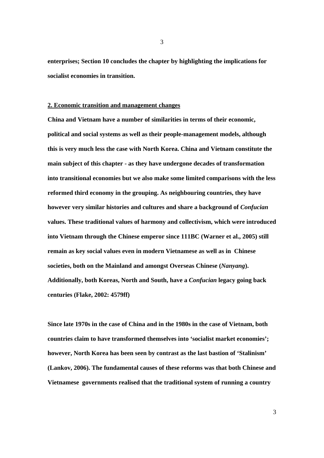**enterprises; Section 10 concludes the chapter by highlighting the implications for socialist economies in transition.** 

#### **2. Economic transition and management changes**

**China and Vietnam have a number of similarities in terms of their economic, political and social systems as well as their people-management models, although this is very much less the case with North Korea. China and Vietnam constitute the main subject of this chapter - as they have undergone decades of transformation into transitional economies but we also make some limited comparisons with the less reformed third economy in the grouping. As neighbouring countries, they have however very similar histories and cultures and share a background of** *Confucian* **values. These traditional values of harmony and collectivism, which were introduced into Vietnam through the Chinese emperor since 111BC (Warner et al., 2005) still remain as key social values even in modern Vietnamese as well as in Chinese societies, both on the Mainland and amongst Overseas Chinese (***Nanyang***). Additionally, both Koreas, North and South, have a** *Confucian* **legacy going back centuries (Flake, 2002: 4579ff)** 

**Since late 1970s in the case of China and in the 1980s in the case of Vietnam, both countries claim to have transformed themselves into 'socialist market economies'; however, North Korea has been seen by contrast as the last bastion of 'Stalinism' (Lankov, 2006). The fundamental causes of these reforms was that both Chinese and Vietnamese governments realised that the traditional system of running a country**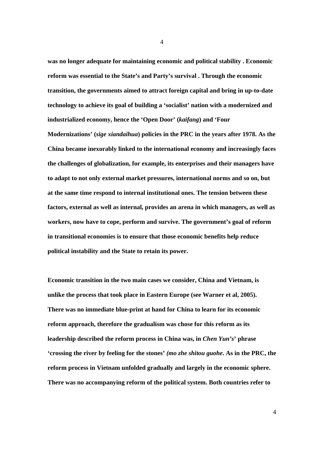**was no longer adequate for maintaining economic and political stability . Economic reform was essential to the State's and Party's survival . Through the economic transition, the governments aimed to attract foreign capital and bring in up-to-date technology to achieve its goal of building a 'socialist' nation with a modernized and industrialized economy, hence the 'Open Door' (***kaifang***) and 'Four Modernizations' (***sige xiandaihua***) policies in the PRC in the years after 1978. As the China became inexorably linked to the international economy and increasingly faces the challenges of globalization, for example, its enterprises and their managers have to adapt to not only external market pressures, international norms and so on, but at the same time respond to internal institutional ones. The tension between these factors, external as well as internal, provides an arena in which managers, as well as workers, now have to cope, perform and survive. The government's goal of reform in transitional economies is to ensure that those economic benefits help reduce political instability and the State to retain its power.** 

**Economic transition in the two main cases we consider, China and Vietnam, is unlike the process that took place in Eastern Europe (see Warner et al, 2005). There was no immediate blue-print at hand for China to learn for its economic reform approach, therefore the gradualism was chose for this reform as its leadership described the reform process in China was, in** *Chen Yun's***' phrase 'crossing the river by feeling for the stones'** *(mo zhe shitou guohe***. As in the PRC, the reform process in Vietnam unfolded gradually and largely in the economic sphere. There was no accompanying reform of the political system. Both countries refer to**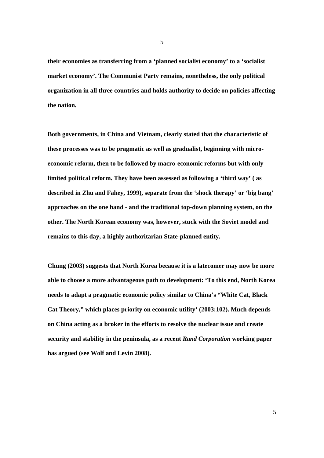**their economies as transferring from a 'planned socialist economy' to a 'socialist market economy'. The Communist Party remains, nonetheless, the only political organization in all three countries and holds authority to decide on policies affecting the nation.** 

**Both governments, in China and Vietnam, clearly stated that the characteristic of these processes was to be pragmatic as well as gradualist, beginning with microeconomic reform, then to be followed by macro-economic reforms but with only limited political reform. They have been assessed as following a 'third way' ( as described in Zhu and Fahey, 1999), separate from the 'shock therapy' or 'big bang' approaches on the one hand - and the traditional top-down planning system, on the other. The North Korean economy was, however, stuck with the Soviet model and remains to this day, a highly authoritarian State-planned entity.** 

**Chung (2003) suggests that North Korea because it is a latecomer may now be more able to choose a more advantageous path to development: 'To this end, North Korea needs to adapt a pragmatic economic policy similar to China's "White Cat, Black Cat Theory," which places priority on economic utility' (2003:102). Much depends on China acting as a broker in the efforts to resolve the nuclear issue and create security and stability in the peninsula, as a recent** *Rand Corporation* **working paper has argued (see Wolf and Levin 2008).**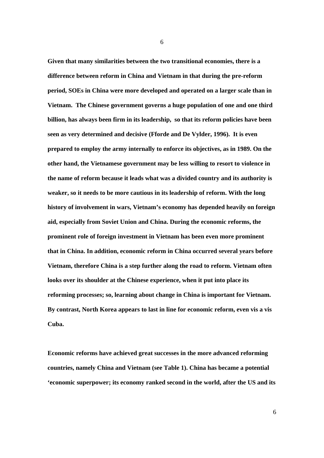**Given that many similarities between the two transitional economies, there is a difference between reform in China and Vietnam in that during the pre-reform period, SOEs in China were more developed and operated on a larger scale than in Vietnam. The Chinese government governs a huge population of one and one third billion, has always been firm in its leadership, so that its reform policies have been seen as very determined and decisive (Fforde and De Vylder, 1996). It is even prepared to employ the army internally to enforce its objectives, as in 1989. On the other hand, the Vietnamese government may be less willing to resort to violence in the name of reform because it leads what was a divided country and its authority is weaker, so it needs to be more cautious in its leadership of reform. With the long history of involvement in wars, Vietnam's economy has depended heavily on foreign aid, especially from Soviet Union and China. During the economic reforms, the prominent role of foreign investment in Vietnam has been even more prominent that in China. In addition, economic reform in China occurred several years before Vietnam, therefore China is a step further along the road to reform. Vietnam often looks over its shoulder at the Chinese experience, when it put into place its reforming processes; so, learning about change in China is important for Vietnam. By contrast, North Korea appears to last in line for economic reform, even vis a vis Cuba.** 

**Economic reforms have achieved great successes in the more advanced reforming countries, namely China and Vietnam (see Table 1). China has became a potential 'economic superpower; its economy ranked second in the world, after the US and its**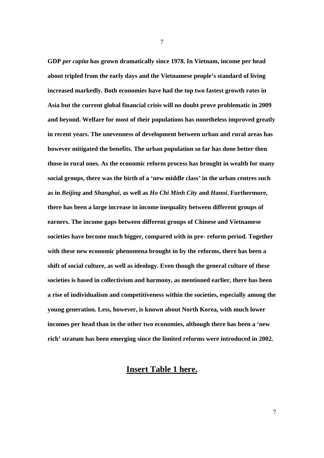**GDP** *per capita* **has grown dramatically since 1978. In Vietnam, income per head about tripled from the early days and the Vietnamese people's standard of living increased markedly. Both economies have had the top two fastest growth rates in Asia but the current global financial crisis will no doubt prove problematic in 2009 and beyond. Welfare for most of their populations has nonetheless improved greatly in recent years. The unevenness of development between urban and rural areas has however mitigated the benefits. The urban population so far has done better then those in rural ones. As the economic reform process has brought in wealth for many social groups, there was the birth of a 'new middle class' in the urban centres such as in** *Beijing* **and** *Shanghai***, as well as** *Ho Chi Minh City* **and** *Hanoi***. Furthermore, there has been a large increase in income inequality between different groups of earners. The income gaps between different groups of Chinese and Vietnamese societies have become much bigger, compared with in pre- reform period. Together with these new economic phenomena brought in by the reforms, there has been a shift of social culture, as well as ideology. Even though the general culture of these societies is based in collectivism and harmony, as mentioned earlier, there has been a rise of individualism and competitiveness within the societies, especially among the young generation. Less, however, is known about North Korea, with much lower incomes per head than in the other two economies, although there has been a 'new rich' stratum has been emerging since the limited reforms were introduced in 2002.** 

#### **Insert Table 1 here.**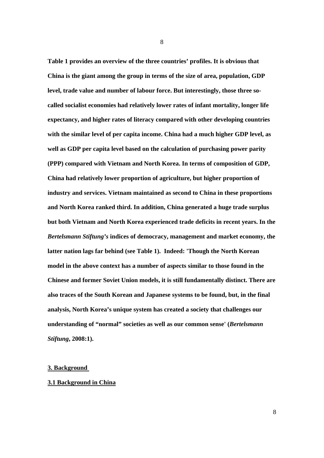**Table 1 provides an overview of the three countries' profiles. It is obvious that China is the giant among the group in terms of the size of area, population, GDP level, trade value and number of labour force. But interestingly, those three socalled socialist economies had relatively lower rates of infant mortality, longer life expectancy, and higher rates of literacy compared with other developing countries with the similar level of per capita income. China had a much higher GDP level, as well as GDP per capita level based on the calculation of purchasing power parity (PPP) compared with Vietnam and North Korea. In terms of composition of GDP, China had relatively lower proportion of agriculture, but higher proportion of industry and services. Vietnam maintained as second to China in these proportions and North Korea ranked third. In addition, China generated a huge trade surplus but both Vietnam and North Korea experienced trade deficits in recent years. In the**  *Bertelsmann Stiftung's* **indices of democracy, management and market economy, the latter nation lags far behind (see Table 1). Indeed: 'Though the North Korean model in the above context has a number of aspects similar to those found in the Chinese and former Soviet Union models, it is still fundamentally distinct. There are also traces of the South Korean and Japanese systems to be found, but, in the final analysis, North Korea's unique system has created a society that challenges our understanding of "normal" societies as well as our common sense' (***Bertelsmann Stiftung***, 2008:1).** 

#### **3. Background**

#### **3.1 Background in China**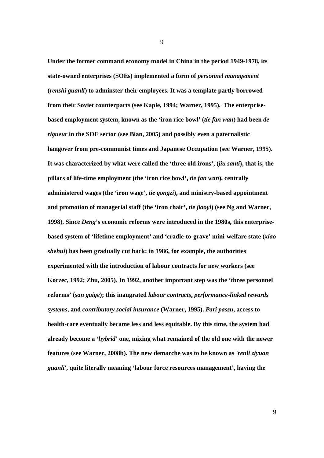**Under the former command economy model in China in the period 1949-1978, its state-owned enterprises (SOEs) implemented a form of** *personnel management* **(***renshi guanli***) to adminster their employees. It was a template partly borrowed from their Soviet counterparts (see Kaple, 1994; Warner, 1995). The enterprisebased employment system, known as the 'iron rice bowl' (***tie fan wan***) had been** *de rigueur* **in the SOE sector (see Bian, 2005) and possibly even a paternalistic hangover from pre-communist times and Japanese Occupation (see Warner, 1995). It was characterized by what were called the 'three old irons', (***jiu santi***), that is, the pillars of life-time employment (the 'iron rice bowl',** *tie fan wan***), centrally administered wages (the 'iron wage',** *tie gongzi***), and ministry-based appointment and promotion of managerial staff (the 'iron chair',** *tie jiaoyi***) (see Ng and Warner, 1998). Since** *Deng***'s economic reforms were introduced in the 1980s, this enterprisebased system of 'lifetime employment' and 'cradle-to-grave' mini-welfare state (***xiao shehui***) has been gradually cut back: in 1986, for example, the authorities experimented with the introduction of labour contracts for new workers (see Korzec, 1992; Zhu, 2005). In 1992, another important step was the 'three personnel reforms' (***san gaige***); this inaugrated** *labour contracts***,** *performance-linked rewards systems***, and** *contributory social insurance* **(Warner, 1995).** *Pari passu***, access to health-care eventually became less and less equitable. By this time, the system had already become a '***hybrid***' one, mixing what remained of the old one with the newer features (see Warner, 2008b). The new demarche was to be known as** *'renli ziyuan guanli'***, quite literally meaning 'labour force resources management', having the**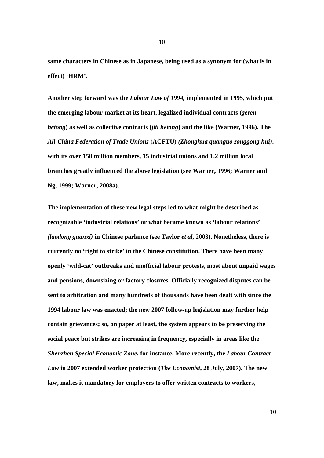**same characters in Chinese as in Japanese, being used as a synonym for (what is in effect) 'HRM'.** 

**Another step forward was the** *Labour Law of 1994,* **implemented in 1995***,* **which put the emerging labour-market at its heart, legalized individual contracts (***geren hetong***) as well as collective contracts (***jiti hetong***) and the like (Warner, 1996). The**  *All-China Federation of Trade Unions* **(ACFTU)** *(Zhonghua quanguo zonggong hui)***, with its over 150 million members, 15 industrial unions and 1.2 million local branches greatly influenced the above legislation (see Warner, 1996; Warner and Ng, 1999; Warner, 2008a).**

**The implementation of these new legal steps led to what might be described as recognizable 'industrial relations' or what became known as 'labour relations'**  *(laodong guanxi)* **in Chinese parlance (see Taylor** *et al***, 2003). Nonetheless, there is currently no 'right to strike' in the Chinese constitution. There have been many openly 'wild-cat' outbreaks and unofficial labour protests, most about unpaid wages and pensions, downsizing or factory closures. Officially recognized disputes can be sent to arbitration and many hundreds of thousands have been dealt with since the 1994 labour law was enacted; the new 2007 follow-up legislation may further help contain grievances; so, on paper at least, the system appears to be preserving the social peace but strikes are increasing in frequency, especially in areas like the**  *Shenzhen Special Economic Zone***, for instance. More recently, the** *Labour Contract Law* **in 2007 extended worker protection (***The Economist***, 28 July, 2007). The new law, makes it mandatory for employers to offer written contracts to workers,**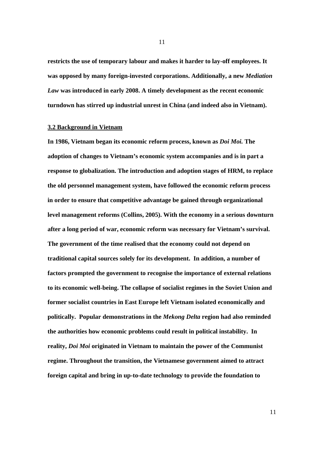**restricts the use of temporary labour and makes it harder to lay-off employees. It was opposed by many foreign-invested corporations. Additionally, a new** *Mediation Law* **was introduced in early 2008. A timely development as the recent economic turndown has stirred up industrial unrest in China (and indeed also in Vietnam).** 

#### **3.2 Background in Vietnam**

**In 1986, Vietnam began its economic reform process, known as** *Doi Moi.* **The adoption of changes to Vietnam's economic system accompanies and is in part a response to globalization. The introduction and adoption stages of HRM, to replace the old personnel management system, have followed the economic reform process in order to ensure that competitive advantage be gained through organizational level management reforms (Collins, 2005). With the economy in a serious downturn after a long period of war, economic reform was necessary for Vietnam's survival. The government of the time realised that the economy could not depend on traditional capital sources solely for its development. In addition, a number of factors prompted the government to recognise the importance of external relations to its economic well-being. The collapse of socialist regimes in the Soviet Union and former socialist countries in East Europe left Vietnam isolated economically and politically. Popular demonstrations in the** *Mekong Delta* **region had also reminded the authorities how economic problems could result in political instability. In reality,** *Doi Moi* **originated in Vietnam to maintain the power of the Communist regime. Throughout the transition, the Vietnamese government aimed to attract foreign capital and bring in up-to-date technology to provide the foundation to**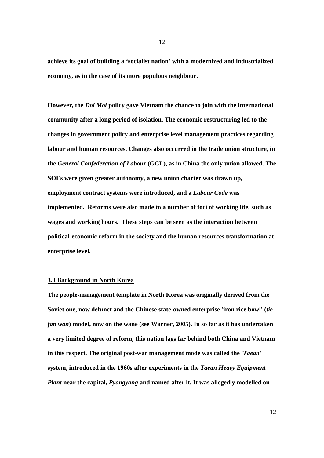**achieve its goal of building a 'socialist nation' with a modernized and industrialized economy, as in the case of its more populous neighbour.** 

**However, the** *Doi Moi* **policy gave Vietnam the chance to join with the international community after a long period of isolation. The economic restructuring led to the changes in government policy and enterprise level management practices regarding labour and human resources. Changes also occurred in the trade union structure, in the** *General Confederation of Labour* **(GCL), as in China the only union allowed. The SOEs were given greater autonomy, a new union charter was drawn up, employment contract systems were introduced, and a** *Labour Code* **was implemented. Reforms were also made to a number of foci of working life, such as wages and working hours. These steps can be seen as the interaction between political-economic reform in the society and the human resources transformation at enterprise level.** 

#### **3.3 Background in North Korea**

**The people-management template in North Korea was originally derived from the Soviet one, now defunct and the Chinese state-owned enterprise 'iron rice bowl' (***tie fan wan***) model, now on the wane (see Warner, 2005). In so far as it has undertaken a very limited degree of reform, this nation lags far behind both China and Vietnam in this respect. The original post-war management mode was called the '***Taean***' system, introduced in the 1960s after experiments in the** *Taean Heavy Equipment Plant* **near the capital,** *Pyongyang* **and named after it. It was allegedly modelled on**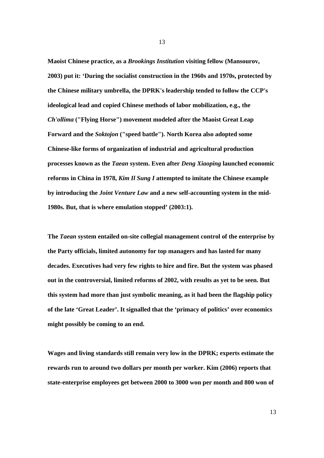**Maoist Chinese practice, as a** *Brookings Institution* **visiting fellow (Mansourov, 2003) put it: 'During the socialist construction in the 1960s and 1970s, protected by the Chinese military umbrella, the DPRK's leadership tended to follow the CCP's ideological lead and copied Chinese methods of labor mobilization, e.g., the**  *Ch'ollima* **("Flying Horse") movement modeled after the Maoist Great Leap Forward and the** *Soktojon* **("speed battle"). North Korea also adopted some Chinese-like forms of organization of industrial and agricultural production processes known as the** *Taean* **system. Even after** *Deng Xiaoping* **launched economic reforms in China in 1978,** *Kim Il Sung I* **attempted to imitate the Chinese example by introducing the** *Joint Venture Law* **and a new self-accounting system in the mid-1980s. But, that is where emulation stopped' (2003:1).** 

**The** *Taean* **system entailed on-site collegial management control of the enterprise by the Party officials, limited autonomy for top managers and has lasted for many decades. Executives had very few rights to hire and fire. But the system was phased out in the controversial, limited reforms of 2002, with results as yet to be seen. But this system had more than just symbolic meaning, as it had been the flagship policy of the late 'Great Leader'. It signalled that the 'primacy of politics' over economics might possibly be coming to an end.** 

**Wages and living standards still remain very low in the DPRK; experts estimate the rewards run to around two dollars per month per worker. Kim (2006) reports that state-enterprise employees get between 2000 to 3000 won per month and 800 won of**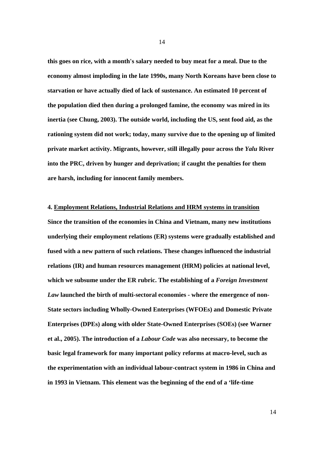**this goes on rice, with a month's salary needed to buy meat for a meal. Due to the economy almost imploding in the late 1990s, many North Koreans have been close to starvation or have actually died of lack of sustenance. An estimated 10 percent of the population died then during a prolonged famine, the economy was mired in its inertia (see Chung, 2003). The outside world, including the US, sent food aid, as the rationing system did not work; today, many survive due to the opening up of limited private market activity. Migrants, however, still illegally pour across the** *Yalu* **River into the PRC, driven by hunger and deprivation; if caught the penalties for them are harsh, including for innocent family members.** 

#### **4. Employment Relations, Industrial Relations and HRM systems in transition**

**Since the transition of the economies in China and Vietnam, many new institutions underlying their employment relations (ER) systems were gradually established and fused with a new pattern of such relations. These changes influenced the industrial relations (IR) and human resources management (HRM) policies at national level, which we subsume under the ER rubric. The establishing of a** *Foreign Investment Law* **launched the birth of multi-sectoral economies - where the emergence of non-State sectors including Wholly-Owned Enterprises (WFOEs) and Domestic Private Enterprises (DPEs) along with older State-Owned Enterprises (SOEs) (see Warner et al., 2005). The introduction of a** *Labour Code* **was also necessary, to become the basic legal framework for many important policy reforms at macro-level, such as the experimentation with an individual labour-contract system in 1986 in China and in 1993 in Vietnam. This element was the beginning of the end of a 'life-time**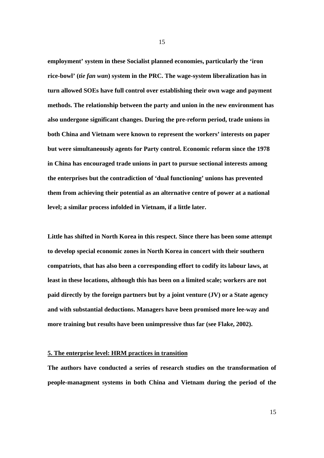**employment' system in these Socialist planned economies, particularly the 'iron rice-bowl' (***tie fan wan***) system in the PRC. The wage-system liberalization has in turn allowed SOEs have full control over establishing their own wage and payment methods. The relationship between the party and union in the new environment has also undergone significant changes. During the pre-reform period, trade unions in both China and Vietnam were known to represent the workers' interests on paper but were simultaneously agents for Party control. Economic reform since the 1978 in China has encouraged trade unions in part to pursue sectional interests among the enterprises but the contradiction of 'dual functioning' unions has prevented them from achieving their potential as an alternative centre of power at a national level; a similar process infolded in Vietnam, if a little later.** 

**Little has shifted in North Korea in this respect. Since there has been some attempt to develop special economic zones in North Korea in concert with their southern compatriots, that has also been a corresponding effort to codify its labour laws, at least in these locations, although this has been on a limited scale; workers are not paid directly by the foreign partners but by a joint venture (JV) or a State agency and with substantial deductions. Managers have been promised more lee-way and more training but results have been unimpressive thus far (see Flake, 2002).** 

#### **5. The enterprise level: HRM practices in transition**

**The authors have conducted a series of research studies on the transformation of people-managment systems in both China and Vietnam during the period of the**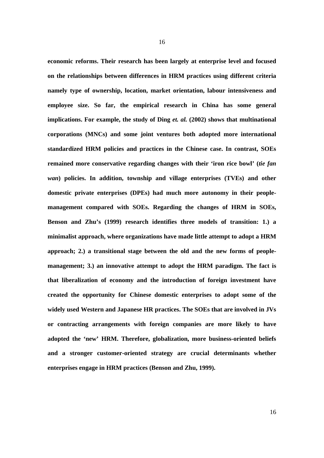**economic reforms. Their research has been largely at enterprise level and focused on the relationships between differences in HRM practices using different criteria namely type of ownership, location, market orientation, labour intensiveness and employee size. So far, the empirical research in China has some general implications. For example, the study of Ding** *et. al.* **(2002) shows that multinational corporations (MNCs) and some joint ventures both adopted more international standardized HRM policies and practices in the Chinese case. In contrast, SOEs remained more conservative regarding changes with their 'iron rice bowl' (***tie fan wan***) policies. In addition, township and village enterprises (TVEs) and other domestic private enterprises (DPEs) had much more autonomy in their peoplemanagement compared with SOEs. Regarding the changes of HRM in SOEs, Benson and Zhu's (1999) research identifies three models of transition: 1.) a minimalist approach, where organizations have made little attempt to adopt a HRM approach; 2.) a transitional stage between the old and the new forms of peoplemanagement; 3.) an innovative attempt to adopt the HRM paradigm. The fact is that liberalization of economy and the introduction of foreign investment have created the opportunity for Chinese domestic enterprises to adopt some of the widely used Western and Japanese HR practices. The SOEs that are involved in JVs or contracting arrangements with foreign companies are more likely to have adopted the 'new' HRM. Therefore, globalization, more business-oriented beliefs and a stronger customer-oriented strategy are crucial determinants whether enterprises engage in HRM practices (Benson and Zhu, 1999).**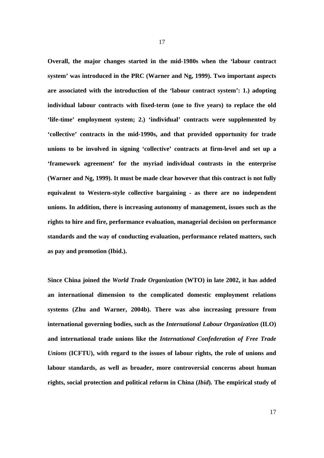**Overall, the major changes started in the mid-1980s when the 'labour contract system' was introduced in the PRC (Warner and Ng, 1999). Two important aspects are associated with the introduction of the 'labour contract system': 1.) adopting individual labour contracts with fixed-term (one to five years) to replace the old 'life-time' employment system; 2.) 'individual' contracts were supplemented by 'collective' contracts in the mid-1990s, and that provided opportunity for trade unions to be involved in signing 'collective' contracts at firm-level and set up a 'framework agreement' for the myriad individual contrasts in the enterprise (Warner and Ng, 1999). It must be made clear however that this contract is not fully equivalent to Western-style collective bargaining - as there are no independent unions. In addition, there is increasing autonomy of management, issues such as the rights to hire and fire, performance evaluation, managerial decision on performance standards and the way of conducting evaluation, performance related matters, such as pay and promotion (Ibid.).** 

**Since China joined the** *World Trade Organization* **(WTO) in late 2002, it has added an international dimension to the complicated domestic employment relations systems (Zhu and Warner, 2004b). There was also increasing pressure from international governing bodies, such as the** *International Labour Organization* **(ILO) and international trade unions like the** *International Confederation of Free Trade Unions* **(ICFTU), with regard to the issues of labour rights, the role of unions and labour standards, as well as broader, more controversial concerns about human rights, social protection and political reform in China (***Ibid***). The empirical study of**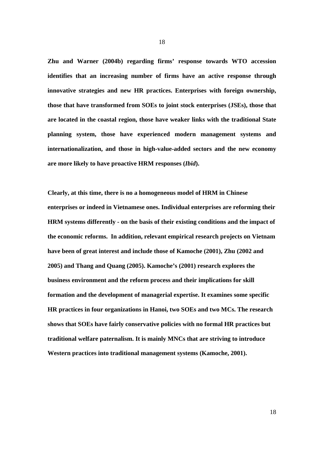**Zhu and Warner (2004b) regarding firms' response towards WTO accession identifies that an increasing number of firms have an active response through innovative strategies and new HR practices. Enterprises with foreign ownership, those that have transformed from SOEs to joint stock enterprises (JSEs), those that are located in the coastal region, those have weaker links with the traditional State planning system, those have experienced modern management systems and internationalization, and those in high-value-added sectors and the new economy are more likely to have proactive HRM responses (***Ibid***).** 

**Clearly, at this time, there is no a homogeneous model of HRM in Chinese enterprises or indeed in Vietnamese ones. Individual enterprises are reforming their HRM systems differently - on the basis of their existing conditions and the impact of the economic reforms. In addition, relevant empirical research projects on Vietnam have been of great interest and include those of Kamoche (2001), Zhu (2002 and 2005) and Thang and Quang (2005). Kamoche's (2001) research explores the business environment and the reform process and their implications for skill formation and the development of managerial expertise. It examines some specific HR practices in four organizations in Hanoi, two SOEs and two MCs. The research shows that SOEs have fairly conservative policies with no formal HR practices but traditional welfare paternalism. It is mainly MNCs that are striving to introduce Western practices into traditional management systems (Kamoche, 2001).**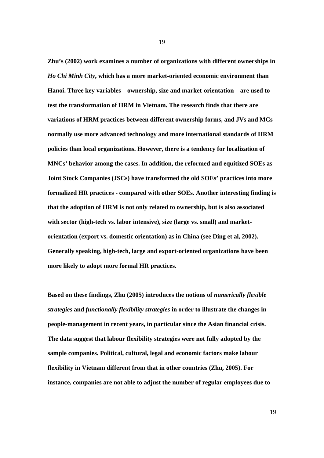**Zhu's (2002) work examines a number of organizations with different ownerships in**  *Ho Chi Minh City***, which has a more market-oriented economic environment than Hanoi. Three key variables – ownership, size and market-orientation – are used to test the transformation of HRM in Vietnam. The research finds that there are variations of HRM practices between different ownership forms, and JVs and MCs normally use more advanced technology and more international standards of HRM policies than local organizations. However, there is a tendency for localization of MNCs' behavior among the cases. In addition, the reformed and equitized SOEs as Joint Stock Companies (JSCs) have transformed the old SOEs' practices into more formalized HR practices - compared with other SOEs. Another interesting finding is that the adoption of HRM is not only related to ownership, but is also associated with sector (high-tech vs. labor intensive), size (large vs. small) and marketorientation (export vs. domestic orientation) as in China (see Ding et al, 2002). Generally speaking, high-tech, large and export-oriented organizations have been more likely to adopt more formal HR practices.** 

**Based on these findings, Zhu (2005) introduces the notions of** *numerically flexible strategies* **and** *functionally flexibility strategies* **in order to illustrate the changes in people-management in recent years, in particular since the Asian financial crisis. The data suggest that labour flexibility strategies were not fully adopted by the sample companies. Political, cultural, legal and economic factors make labour flexibility in Vietnam different from that in other countries (Zhu, 2005). For instance, companies are not able to adjust the number of regular employees due to**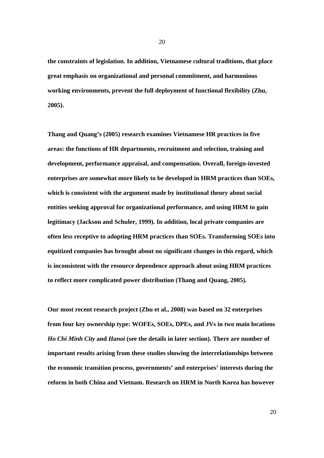**the constraints of legislation. In addition, Vietnamese cultural traditions, that place great emphasis on organizational and personal commitment, and harmonious working environments, prevent the full deployment of functional flexibility (Zhu, 2005).** 

**Thang and Quang's (2005) research examines Vietnamese HR practices in five areas: the functions of HR departments, recruitment and selection, training and development, performance appraisal, and compensation. Overall, foreign-invested enterprises are somewhat more likely to be developed in HRM practices than SOEs, which is consistent with the argument made by institutional theory about social entities seeking approval for organizational performance, and using HRM to gain legitimacy (Jackson and Schuler, 1999). In addition, local private companies are often less receptive to adopting HRM practices than SOEs. Transforming SOEs into equitized companies has brought about no significant changes in this regard, which is inconsistent with the resource dependence approach about using HRM practices to reflect more complicated power distribution (Thang and Quang, 2005).** 

**Our most recent research project (Zhu et al., 2008) was based on 32 enterprises from four key ownership type: WOFEs, SOEs, DPEs, and JVs in two main locations**  *Ho Chi Minh City* **and** *Hanoi* **(see the details in later section). There are number of important results arising from these studies showing the interrelationships between the economic transition process, governments' and enterprises' interests during the reform in both China and Vietnam. Research on HRM in North Korea has however**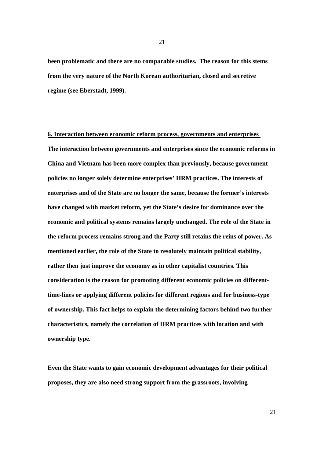**been problematic and there are no comparable studies. The reason for this stems from the very nature of the North Korean authoritarian, closed and secretive regime (see Eberstadt, 1999).** 

#### **6. Interaction between economic reform process, governments and enterprises**

**The interaction between governments and enterprises since the economic reforms in China and Vietnam has been more complex than previously, because government policies no longer solely determine enterprises' HRM practices. The interests of enterprises and of the State are no longer the same, because the former's interests have changed with market reform, yet the State's desire for dominance over the economic and political systems remains largely unchanged. The role of the State in the reform process remains strong and the Party still retains the reins of power. As mentioned earlier, the role of the State to resolutely maintain political stability, rather then just improve the economy as in other capitalist countries. This consideration is the reason for promoting different economic policies on differenttime-lines or applying different policies for different regions and for business-type of ownership. This fact helps to explain the determining factors behind two further characteristics, namely the correlation of HRM practices with location and with ownership type.** 

**Even the State wants to gain economic development advantages for their political proposes, they are also need strong support from the grassroots, involving**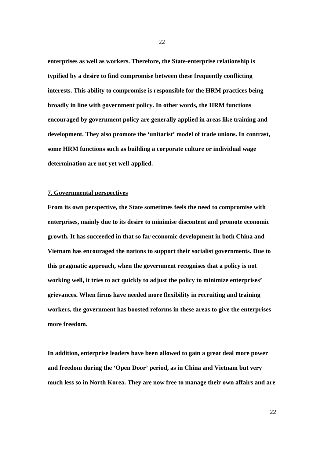**enterprises as well as workers. Therefore, the State-enterprise relationship is typified by a desire to find compromise between these frequently conflicting interests. This ability to compromise is responsible for the HRM practices being broadly in line with government policy. In other words, the HRM functions encouraged by government policy are generally applied in areas like training and development. They also promote the 'unitarist' model of trade unions. In contrast, some HRM functions such as building a corporate culture or individual wage determination are not yet well-applied.** 

#### **7. Governmental perspectives**

**From its own perspective, the State sometimes feels the need to compromise with enterprises, mainly due to its desire to minimise discontent and promote economic growth. It has succeeded in that so far economic development in both China and Vietnam has encouraged the nations to support their socialist governments. Due to this pragmatic approach, when the government recognises that a policy is not working well, it tries to act quickly to adjust the policy to minimize enterprises' grievances. When firms have needed more flexibility in recruiting and training workers, the government has boosted reforms in these areas to give the enterprises more freedom.** 

**In addition, enterprise leaders have been allowed to gain a great deal more power and freedom during the 'Open Door' period, as in China and Vietnam but very much less so in North Korea. They are now free to manage their own affairs and are**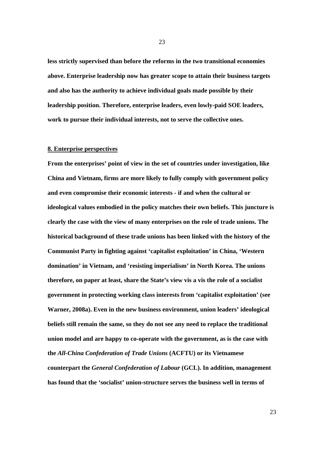**less strictly supervised than before the reforms in the two transitional economies above. Enterprise leadership now has greater scope to attain their business targets and also has the authority to achieve individual goals made possible by their leadership position. Therefore, enterprise leaders, even lowly-paid SOE leaders, work to pursue their individual interests, not to serve the collective ones.** 

#### **8. Enterprise perspectives**

**From the enterprises' point of view in the set of countries under investigation, like China and Vietnam, firms are more likely to fully comply with government policy and even compromise their economic interests - if and when the cultural or ideological values embodied in the policy matches their own beliefs. This juncture is clearly the case with the view of many enterprises on the role of trade unions. The historical background of these trade unions has been linked with the history of the Communist Party in fighting against 'capitalist exploitation' in China, 'Western domination' in Vietnam, and 'resisting imperialism' in North Korea. The unions therefore, on paper at least, share the State's view vis a vis the role of a socialist government in protecting working class interests from 'capitalist exploitation' (see Warner, 2008a). Even in the new business environment, union leaders' ideological beliefs still remain the same, so they do not see any need to replace the traditional union model and are happy to co-operate with the government, as is the case with the** *All-China Confederation of Trade Unions* **(ACFTU) or its Vietnamese counterpart the** *General Confederation of Labour* **(GCL). In addition, management has found that the 'socialist' union-structure serves the business well in terms of**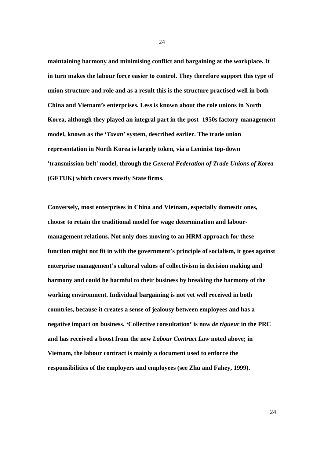**maintaining harmony and minimising conflict and bargaining at the workplace. It in turn makes the labour force easier to control. They therefore support this type of union structure and role and as a result this is the structure practised well in both China and Vietnam's enterprises. Less is known about the role unions in North Korea, although they played an integral part in the post- 1950s factory-management model, known as the '***Taean***' system, described earlier. The trade union representation in North Korea is largely token, via a Leninist top-down 'transmission-belt' model, through the** *General Federation of Trade Unions of Korea* **(GFTUK) which covers mostly State firms.** 

**Conversely, most enterprises in China and Vietnam, especially domestic ones, choose to retain the traditional model for wage determination and labourmanagement relations. Not only does moving to an HRM approach for these function might not fit in with the government's principle of socialism, it goes against enterprise management's cultural values of collectivism in decision making and harmony and could be harmful to their business by breaking the harmony of the working environment. Individual bargaining is not yet well received in both countries, because it creates a sense of jealousy between employees and has a negative impact on business. 'Collective consultation' is now** *de rigueur* **in the PRC and has received a boost from the new** *Labour Contract Law* **noted above; in Vietnam, the labour contract is mainly a document used to enforce the responsibilities of the employers and employees (see Zhu and Fahey, 1999).**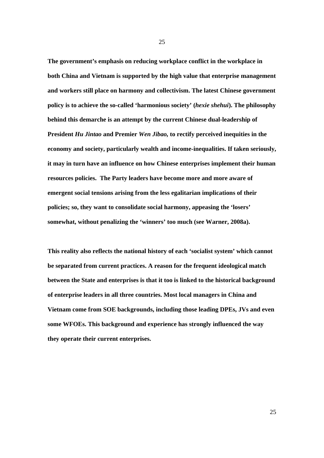**The government's emphasis on reducing workplace conflict in the workplace in both China and Vietnam is supported by the high value that enterprise management and workers still place on harmony and collectivism. The latest Chinese government policy is to achieve the so-called 'harmonious society' (***hexie shehui***). The philosophy behind this demarche is an attempt by the current Chinese dual-leadership of President** *Hu Jintao* **and Premier** *Wen Jibao,* **to rectify perceived inequities in the economy and society, particularly wealth and income-inequalities. If taken seriously, it may in turn have an influence on how Chinese enterprises implement their human resources policies. The Party leaders have become more and more aware of emergent social tensions arising from the less egalitarian implications of their policies; so, they want to consolidate social harmony, appeasing the 'losers' somewhat, without penalizing the 'winners' too much (see Warner, 2008a).** 

**This reality also reflects the national history of each 'socialist system' which cannot be separated from current practices. A reason for the frequent ideological match between the State and enterprises is that it too is linked to the historical background of enterprise leaders in all three countries. Most local managers in China and Vietnam come from SOE backgrounds, including those leading DPEs, JVs and even some WFOEs. This background and experience has strongly influenced the way they operate their current enterprises.**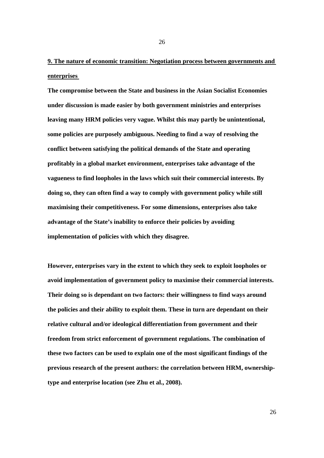## **9. The nature of economic transition: Negotiation process between governments and enterprises**

**The compromise between the State and business in the Asian Socialist Economies under discussion is made easier by both government ministries and enterprises leaving many HRM policies very vague. Whilst this may partly be unintentional, some policies are purposely ambiguous. Needing to find a way of resolving the conflict between satisfying the political demands of the State and operating profitably in a global market environment, enterprises take advantage of the vagueness to find loopholes in the laws which suit their commercial interests. By doing so, they can often find a way to comply with government policy while still maximising their competitiveness. For some dimensions, enterprises also take advantage of the State's inability to enforce their policies by avoiding implementation of policies with which they disagree.** 

**However, enterprises vary in the extent to which they seek to exploit loopholes or avoid implementation of government policy to maximise their commercial interests. Their doing so is dependant on two factors: their willingness to find ways around the policies and their ability to exploit them. These in turn are dependant on their relative cultural and/or ideological differentiation from government and their freedom from strict enforcement of government regulations. The combination of these two factors can be used to explain one of the most significant findings of the previous research of the present authors: the correlation between HRM, ownershiptype and enterprise location (see Zhu et al., 2008).**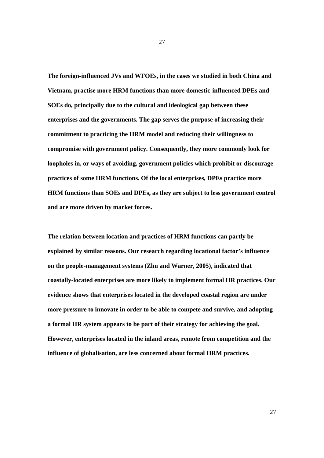**The foreign-influenced JVs and WFOEs, in the cases we studied in both China and Vietnam, practise more HRM functions than more domestic-influenced DPEs and SOEs do, principally due to the cultural and ideological gap between these enterprises and the governments. The gap serves the purpose of increasing their commitment to practicing the HRM model and reducing their willingness to compromise with government policy. Consequently, they more commonly look for loopholes in, or ways of avoiding, government policies which prohibit or discourage practices of some HRM functions. Of the local enterprises, DPEs practice more HRM functions than SOEs and DPEs, as they are subject to less government control and are more driven by market forces.** 

**The relation between location and practices of HRM functions can partly be explained by similar reasons. Our research regarding locational factor's influence on the people-management systems (Zhu and Warner, 2005), indicated that coastally-located enterprises are more likely to implement formal HR practices. Our evidence shows that enterprises located in the developed coastal region are under more pressure to innovate in order to be able to compete and survive, and adopting a formal HR system appears to be part of their strategy for achieving the goal. However, enterprises located in the inland areas, remote from competition and the influence of globalisation, are less concerned about formal HRM practices.**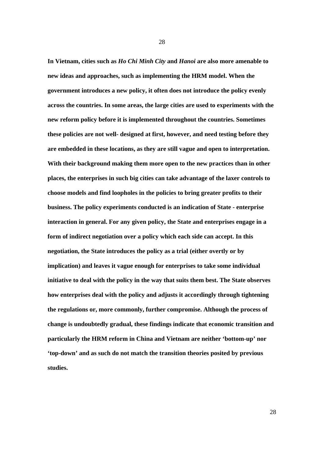**In Vietnam, cities such as** *Ho Chi Minh City* **and** *Hanoi* **are also more amenable to new ideas and approaches, such as implementing the HRM model. When the government introduces a new policy, it often does not introduce the policy evenly across the countries. In some areas, the large cities are used to experiments with the new reform policy before it is implemented throughout the countries. Sometimes these policies are not well- designed at first, however, and need testing before they are embedded in these locations, as they are still vague and open to interpretation. With their background making them more open to the new practices than in other places, the enterprises in such big cities can take advantage of the laxer controls to choose models and find loopholes in the policies to bring greater profits to their business. The policy experiments conducted is an indication of State - enterprise interaction in general. For any given policy, the State and enterprises engage in a form of indirect negotiation over a policy which each side can accept. In this negotiation, the State introduces the policy as a trial (either overtly or by implication) and leaves it vague enough for enterprises to take some individual initiative to deal with the policy in the way that suits them best. The State observes how enterprises deal with the policy and adjusts it accordingly through tightening the regulations or, more commonly, further compromise. Although the process of change is undoubtedly gradual, these findings indicate that economic transition and particularly the HRM reform in China and Vietnam are neither 'bottom-up' nor 'top-down' and as such do not match the transition theories posited by previous studies.**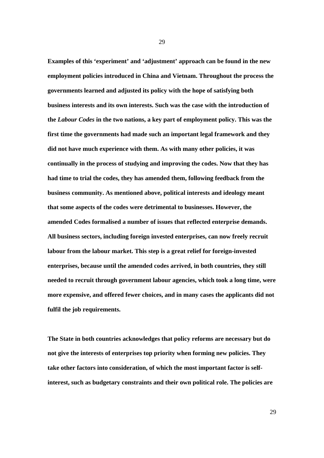**Examples of this 'experiment' and 'adjustment' approach can be found in the new employment policies introduced in China and Vietnam. Throughout the process the governments learned and adjusted its policy with the hope of satisfying both business interests and its own interests. Such was the case with the introduction of the** *Labour Codes* **in the two nations, a key part of employment policy. This was the first time the governments had made such an important legal framework and they did not have much experience with them. As with many other policies, it was continually in the process of studying and improving the codes. Now that they has had time to trial the codes, they has amended them, following feedback from the business community. As mentioned above, political interests and ideology meant that some aspects of the codes were detrimental to businesses. However, the amended Codes formalised a number of issues that reflected enterprise demands. All business sectors, including foreign invested enterprises, can now freely recruit labour from the labour market. This step is a great relief for foreign-invested enterprises, because until the amended codes arrived, in both countries, they still needed to recruit through government labour agencies, which took a long time, were more expensive, and offered fewer choices, and in many cases the applicants did not fulfil the job requirements.** 

**The State in both countries acknowledges that policy reforms are necessary but do not give the interests of enterprises top priority when forming new policies. They take other factors into consideration, of which the most important factor is selfinterest, such as budgetary constraints and their own political role. The policies are**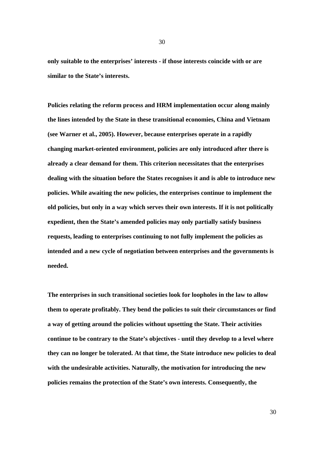**only suitable to the enterprises' interests - if those interests coincide with or are similar to the State's interests.** 

**Policies relating the reform process and HRM implementation occur along mainly the lines intended by the State in these transitional economies, China and Vietnam (see Warner et al., 2005). However, because enterprises operate in a rapidly changing market-oriented environment, policies are only introduced after there is already a clear demand for them. This criterion necessitates that the enterprises dealing with the situation before the States recognises it and is able to introduce new policies. While awaiting the new policies, the enterprises continue to implement the old policies, but only in a way which serves their own interests. If it is not politically expedient, then the State's amended policies may only partially satisfy business requests, leading to enterprises continuing to not fully implement the policies as intended and a new cycle of negotiation between enterprises and the governments is needed.** 

**The enterprises in such transitional societies look for loopholes in the law to allow them to operate profitably. They bend the policies to suit their circumstances or find a way of getting around the policies without upsetting the State. Their activities continue to be contrary to the State's objectives - until they develop to a level where they can no longer be tolerated. At that time, the State introduce new policies to deal with the undesirable activities. Naturally, the motivation for introducing the new policies remains the protection of the State's own interests. Consequently, the**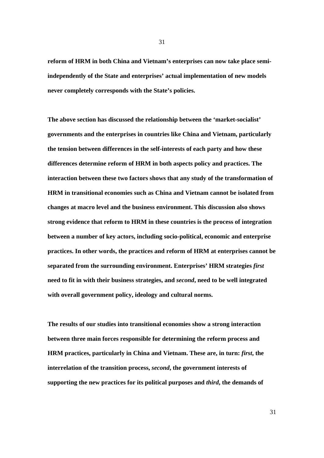**reform of HRM in both China and Vietnam's enterprises can now take place semiindependently of the State and enterprises' actual implementation of new models never completely corresponds with the State's policies.** 

**The above section has discussed the relationship between the 'market-socialist' governments and the enterprises in countries like China and Vietnam, particularly the tension between differences in the self-interests of each party and how these differences determine reform of HRM in both aspects policy and practices. The interaction between these two factors shows that any study of the transformation of HRM in transitional economies such as China and Vietnam cannot be isolated from changes at macro level and the business environment. This discussion also shows strong evidence that reform to HRM in these countries is the process of integration between a number of key actors, including socio-political, economic and enterprise practices. In other words, the practices and reform of HRM at enterprises cannot be separated from the surrounding environment. Enterprises' HRM strategies** *first* **need to fit in with their business strategies, and** *second***, need to be well integrated with overall government policy, ideology and cultural norms.** 

**The results of our studies into transitional economies show a strong interaction between three main forces responsible for determining the reform process and HRM practices, particularly in China and Vietnam. These are, in turn:** *first***, the interrelation of the transition process,** *second***, the government interests of supporting the new practices for its political purposes and** *third***, the demands of** 

31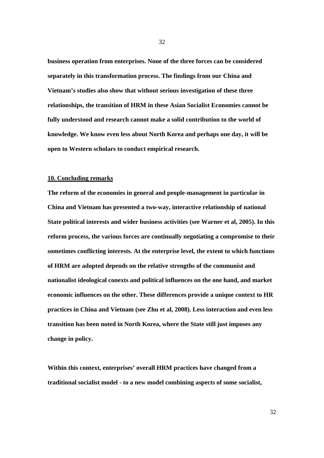**business operation from enterprises. None of the three forces can be considered separately in this transformation process. The findings from our China and Vietnam's studies also show that without serious investigation of these three relationships, the transition of HRM in these Asian Socialist Economies cannot be fully understood and research cannot make a solid contribution to the world of knowledge. We know even less about North Korea and perhaps one day, it will be open to Western scholars to conduct empirical research.** 

#### **10. Concluding remarks**

**The reform of the economies in general and people-management in particular in China and Vietnam has presented a two-way, interactive relationship of national State political interests and wider business activities (see Warner et al, 2005). In this reform process, the various forces are continually negotiating a compromise to their sometimes conflicting interests. At the enterprise level, the extent to which functions of HRM are adopted depends on the relative strengths of the communist and nationalist ideological conexts and political influences on the one hand, and market economic influences on the other. These differences provide a unique context to HR practices in China and Vietnam (see Zhu et al, 2008). Less interaction and even less transition has been noted in North Korea, where the State still just imposes any change in policy.** 

**Within this context, enterprises' overall HRM practices have changed from a traditional socialist model - to a new model combining aspects of some socialist,**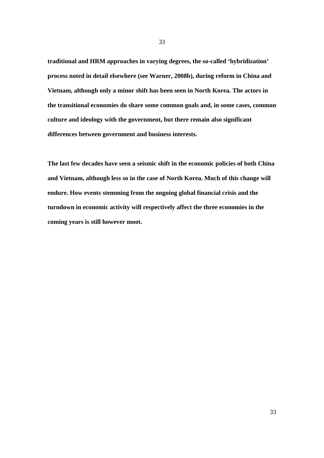**traditional and HRM approaches in varying degrees, the so-called 'hybridization' process noted in detail elsewhere (see Warner, 2008b), during reform in China and Vietnam, although only a minor shift has been seen in North Korea. The actors in the transitional economies do share some common goals and, in some cases, common culture and ideology with the government, but there remain also significant differences between government and business interests.** 

**The last few decades have seen a seismic shift in the economic policies of both China and Vietnam, although less so in the case of North Korea. Much of this change will endure. How events stemming from the ongoing global financial crisis and the turndown in economic activity will respectively affect the three economies in the coming years is still however moot.**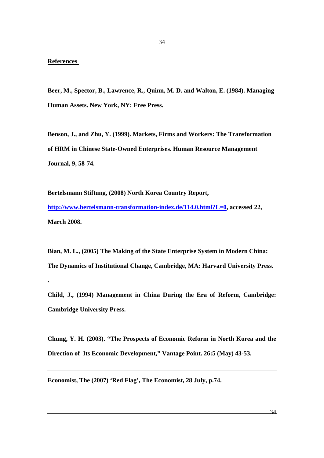#### **References**

**.** 

**Beer, M., Spector, B., Lawrence, R., Quinn, M. D. and Walton, E. (1984). Managing Human Assets. New York, NY: Free Press.** 

**Benson, J., and Zhu, Y. (1999). Markets, Firms and Workers: The Transformation of HRM in Chinese State-Owned Enterprises. Human Resource Management Journal, 9, 58-74.** 

**Bertelsmann Stiftung, (2008) North Korea Country Report, http://www.bertelsmann-transformation-index.de/114.0.html?L=0, accessed 22, March 2008.** 

**Bian, M. L., (2005) The Making of the State Enterprise System in Modern China: The Dynamics of Institutional Change, Cambridge, MA: Harvard University Press.** 

**Child, J., (1994) Management in China During the Era of Reform, Cambridge: Cambridge University Press.** 

**Chung, Y. H. (2003). "The Prospects of Economic Reform in North Korea and the Direction of Its Economic Development," Vantage Point. 26:5 (May) 43-53.** 

**Economist, The (2007) 'Red Flag', The Economist, 28 July, p.74.**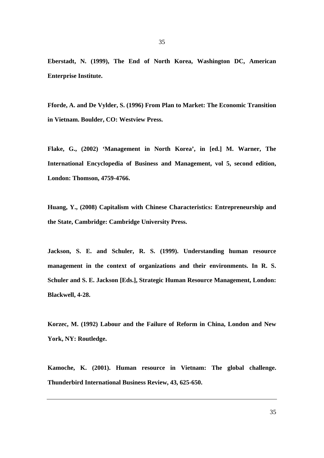**Eberstadt, N. (1999), The End of North Korea, Washington DC, American Enterprise Institute.** 

**Fforde, A. and De Vylder, S. (1996) From Plan to Market: The Economic Transition in Vietnam. Boulder, CO: Westview Press.** 

**Flake, G., (2002) 'Management in North Korea', in [ed.] M. Warner, The International Encyclopedia of Business and Management, vol 5, second edition, London: Thomson, 4759-4766.** 

**Huang, Y., (2008) Capitalism with Chinese Characteristics: Entrepreneurship and the State, Cambridge: Cambridge University Press.** 

**Jackson, S. E. and Schuler, R. S. (1999). Understanding human resource management in the context of organizations and their environments. In R. S. Schuler and S. E. Jackson [Eds.], Strategic Human Resource Management, London: Blackwell, 4-28.** 

**Korzec, M. (1992) Labour and the Failure of Reform in China, London and New York, NY: Routledge.** 

**Kamoche, K. (2001). Human resource in Vietnam: The global challenge. Thunderbird International Business Review, 43, 625-650.**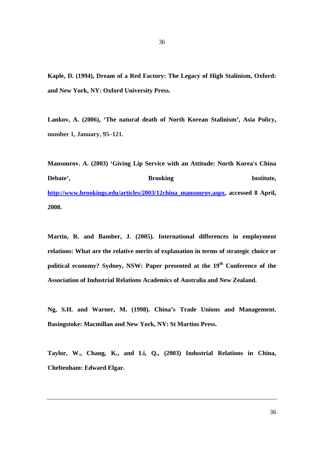**Kaple, D. (1994), Dream of a Red Factory: The Legacy of High Stalinism, Oxford: and New York, NY: Oxford University Press.** 

**Lankov, A. (2006), 'The natural death of North Korean Stalinism', Asia Policy, number 1, January, 95–121.** 

**Mansourov. A. (2003) 'Giving Lip Service with an Attitude: North Korea's China Debate',**  Brooking **Institute, Institute**, **http://www.brookings.edu/articles/2003/12china\_mansourov.aspx, accessed 8 April, 2008.** 

**Martin, R. and Bamber, J. (2005). International differences in employment relations: What are the relative merits of explanation in terms of strategic choice or**  political economy? Sydney, NSW: Paper presented at the 19<sup>th</sup> Conference of the **Association of Industrial Relations Academics of Australia and New Zealand.** 

**Ng, S.H. and Warner, M. (1998). China's Trade Unions and Management. Basingstoke: Macmillan and New York, NY: St Martins Press.** 

**Taylor, W., Chang, K., and Li, Q., (2003) Industrial Relations in China, Cheltenham: Edward Elgar.**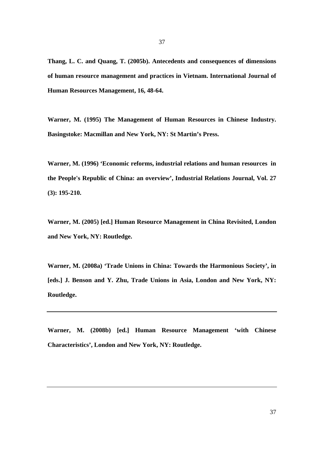**Thang, L. C. and Quang, T. (2005b). Antecedents and consequences of dimensions of human resource management and practices in Vietnam. International Journal of Human Resources Management, 16, 48-64.** 

**Warner, M. (1995) The Management of Human Resources in Chinese Industry. Basingstoke: Macmillan and New York, NY: St Martin's Press.** 

**Warner, M. (1996) 'Economic reforms, industrial relations and human resources in the People's Republic of China: an overview', Industrial Relations Journal, Vol. 27 (3): 195-210.** 

**Warner, M. (2005) [ed.] Human Resource Management in China Revisited, London and New York, NY: Routledge.** 

**Warner, M. (2008a) 'Trade Unions in China: Towards the Harmonious Society', in [eds.] J. Benson and Y. Zhu, Trade Unions in Asia, London and New York, NY: Routledge.** 

**Warner, M. (2008b) [ed.] Human Resource Management 'with Chinese Characteristics', London and New York, NY: Routledge.**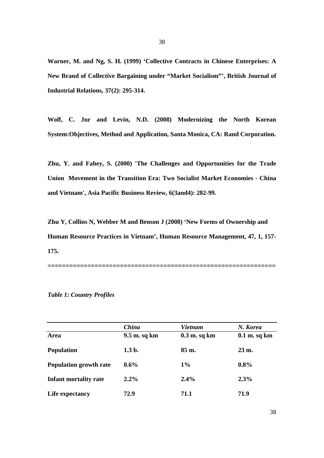**Warner, M. and Ng, S. H. (1999) 'Collective Contracts in Chinese Enterprises: A New Brand of Collective Bargaining under "Market Socialism"', British Journal of Industrial Relations, 37(2): 295-314.** 

**Wolf, C. Jnr and Levin, N.D. (2008) Modernizing the North Korean System:Objectives, Method and Application, Santa Monica, CA: Rand Corporation.** 

**Zhu, Y. and Fahey, S. (2000) 'The Challenges and Opportunities for the Trade Union Movement in the Transition Era: Two Socialist Market Economies - China and Vietnam', Asia Pacific Business Review, 6(3and4): 282-99.** 

**Zhu Y, Collins N, Webber M and Benson J (2008) 'New Forms of Ownership and Human Resource Practices in Vietnam', Human Resource Management, 47, 1, 157- 175.** 

**===============================================================** 

|                               | <b>China</b> | <b>Vietnam</b> | N. Korea         |
|-------------------------------|--------------|----------------|------------------|
| Area                          | 9.5 m. sq km | $0.3$ m. sq km | $0.1$ m. sq km   |
| <b>Population</b>             | $1.3b$ .     | 85 m.          | $23 \text{ m}$ . |
| <b>Population growth rate</b> | $0.6\%$      | $1\%$          | $0.8\%$          |
| <b>Infant mortality rate</b>  | $2.2\%$      | 2.4%           | 2.3%             |
| Life expectancy               | 72.9         | 71.1           | 71.9             |

*Table 1: Country Profiles*